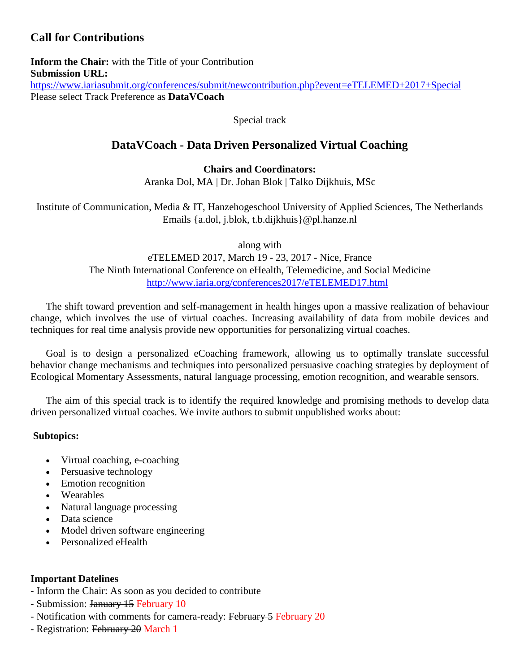# **Call for Contributions**

**Inform the Chair:** with the Title of your Contribution **Submission URL:** <https://www.iariasubmit.org/conferences/submit/newcontribution.php?event=eTELEMED+2017+Special> Please select Track Preference as **DataVCoach**

Special track

# **DataVCoach - Data Driven Personalized Virtual Coaching**

### **Chairs and Coordinators:**

Aranka Dol, MA | Dr. Johan Blok | Talko Dijkhuis, MSc

Institute of Communication, Media & IT, Hanzehogeschool University of Applied Sciences, The Netherlands Emails {a.dol, j.blok, t.b.dijkhuis}@pl.hanze.nl

along with

eTELEMED 2017, March 19 - 23, 2017 - Nice, France The Ninth International Conference on eHealth, Telemedicine, and Social Medicine <http://www.iaria.org/conferences2017/eTELEMED17.html>

The shift toward prevention and self-management in health hinges upon a massive realization of behaviour change, which involves the use of virtual coaches. Increasing availability of data from mobile devices and techniques for real time analysis provide new opportunities for personalizing virtual coaches.

Goal is to design a personalized eCoaching framework, allowing us to optimally translate successful behavior change mechanisms and techniques into personalized persuasive coaching strategies by deployment of Ecological Momentary Assessments, natural language processing, emotion recognition, and wearable sensors.

The aim of this special track is to identify the required knowledge and promising methods to develop data driven personalized virtual coaches. We invite authors to submit unpublished works about:

#### **Subtopics:**

- Virtual coaching, e-coaching
- Persuasive technology
- Emotion recognition
- Wearables
- Natural language processing
- Data science
- Model driven software engineering
- Personalized eHealth

# **Important Datelines**

- Inform the Chair: As soon as you decided to contribute

- Submission: January 15 February 10
- Notification with comments for camera-ready: February 5 February 20
- Registration: February 20 March 1